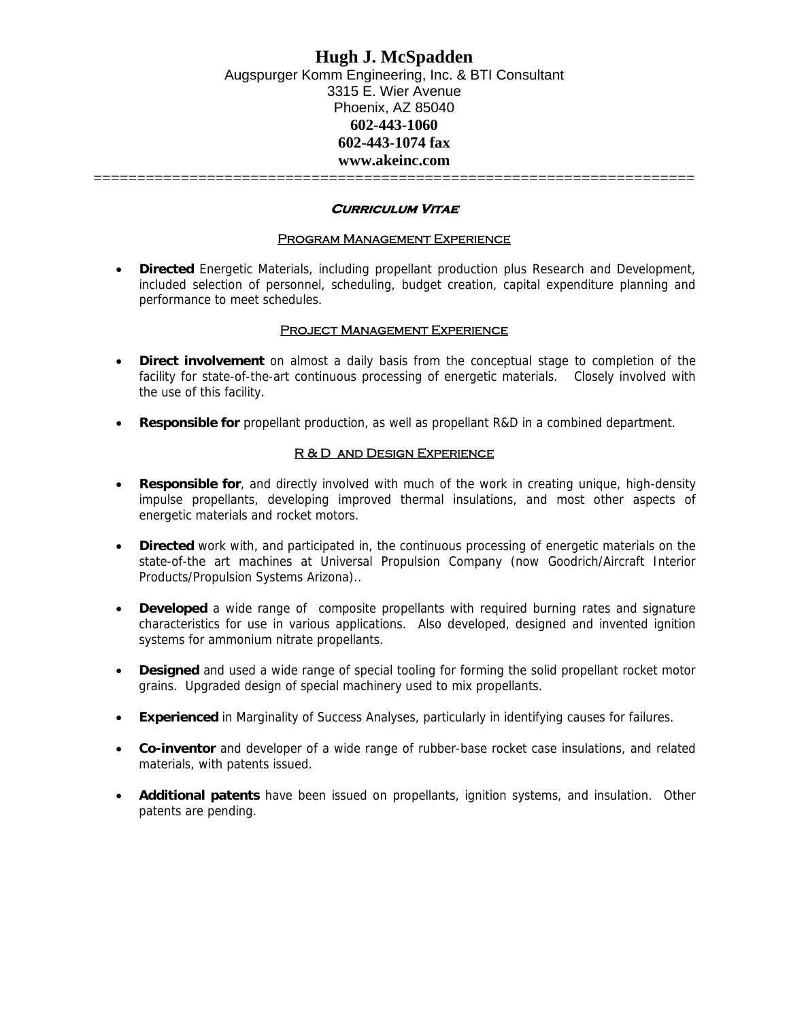# **Hugh J. McSpadden**  Augspurger Komm Engineering, Inc. & BTI Consultant 3315 E. Wier Avenue Phoenix, AZ 85040 **602-443-1060 602-443-1074 fax www.akeinc.com**

=====================================================================

### **Curriculum Vitae**

### Program Management Experience

• **Directed** Energetic Materials, including propellant production plus Research and Development, included selection of personnel, scheduling, budget creation, capital expenditure planning and performance to meet schedules.

### PROJECT MANAGEMENT EXPERIENCE

- **Direct involvement** on almost a daily basis from the conceptual stage to completion of the facility for state-of-the-art continuous processing of energetic materials. Closely involved with the use of this facility.
- **Responsible for** propellant production, as well as propellant R&D in a combined department.

### R & D AND DESIGN EXPERIENCE

- **Responsible for**, and directly involved with much of the work in creating unique, high-density impulse propellants, developing improved thermal insulations, and most other aspects of energetic materials and rocket motors.
- **Directed** work with, and participated in, the continuous processing of energetic materials on the state-of-the art machines at Universal Propulsion Company (now Goodrich/Aircraft Interior Products/Propulsion Systems Arizona)..
- **Developed** a wide range of composite propellants with required burning rates and signature characteristics for use in various applications. Also developed, designed and invented ignition systems for ammonium nitrate propellants.
- **Designed** and used a wide range of special tooling for forming the solid propellant rocket motor grains. Upgraded design of special machinery used to mix propellants.
- **Experienced** in Marginality of Success Analyses, particularly in identifying causes for failures.
- **Co-inventor** and developer of a wide range of rubber-base rocket case insulations, and related materials, with patents issued.
- **Additional patents** have been issued on propellants, ignition systems, and insulation. Other patents are pending.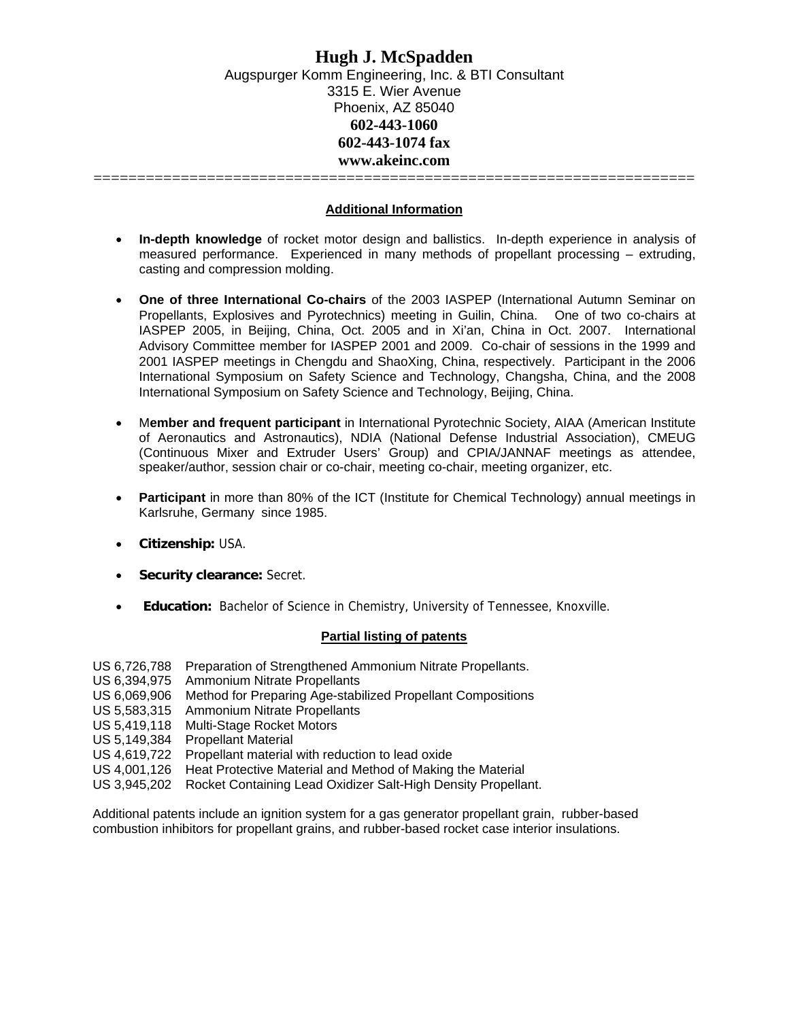**Additional Information**

- **In-depth knowledge** of rocket motor design and ballistics. In-depth experience in analysis of measured performance. Experienced in many methods of propellant processing – extruding, casting and compression molding.
- **One of three International Co-chairs** of the 2003 IASPEP (International Autumn Seminar on Propellants, Explosives and Pyrotechnics) meeting in Guilin, China. One of two co-chairs at IASPEP 2005, in Beijing, China, Oct. 2005 and in Xi'an, China in Oct. 2007. International Advisory Committee member for IASPEP 2001 and 2009. Co-chair of sessions in the 1999 and 2001 IASPEP meetings in Chengdu and ShaoXing, China, respectively. Participant in the 2006 International Symposium on Safety Science and Technology, Changsha, China, and the 2008 International Symposium on Safety Science and Technology, Beijing, China.
- M**ember and frequent participant** in International Pyrotechnic Society, AIAA (American Institute of Aeronautics and Astronautics), NDIA (National Defense Industrial Association), CMEUG (Continuous Mixer and Extruder Users' Group) and CPIA/JANNAF meetings as attendee, speaker/author, session chair or co-chair, meeting co-chair, meeting organizer, etc.
- **Participant** in more than 80% of the ICT (Institute for Chemical Technology) annual meetings in Karlsruhe, Germany since 1985.
- **Citizenship:** USA.
- **Security clearance: Secret.**
- **Education:** Bachelor of Science in Chemistry, University of Tennessee, Knoxville.

## **Partial listing of patents**

US 6,726,788 Preparation of Strengthened Ammonium Nitrate Propellants.

- US 6,394,975 Ammonium Nitrate Propellants
- US 6,069,906 Method for Preparing Age-stabilized Propellant Compositions
- US 5,583,315 Ammonium Nitrate Propellants
- US 5,419,118 Multi-Stage Rocket Motors
- US 5,149,384 Propellant Material
- US 4,619,722 Propellant material with reduction to lead oxide
- US 4,001,126 Heat Protective Material and Method of Making the Material
- US 3,945,202 Rocket Containing Lead Oxidizer Salt-High Density Propellant.

Additional patents include an ignition system for a gas generator propellant grain, rubber-based combustion inhibitors for propellant grains, and rubber-based rocket case interior insulations.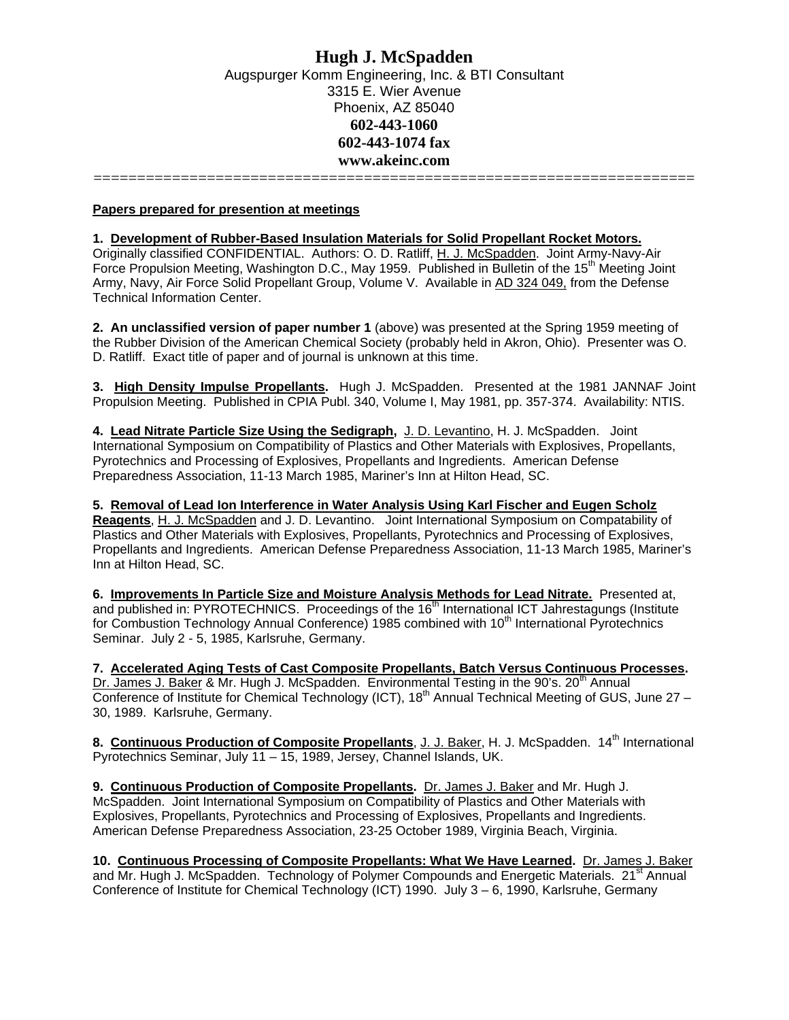# **Hugh J. McSpadden**  Augspurger Komm Engineering, Inc. & BTI Consultant 3315 E. Wier Avenue Phoenix, AZ 85040 **602-443-1060 602-443-1074 fax www.akeinc.com**

=====================================================================

**Papers prepared for presention at meetings**

#### **1. Development of Rubber-Based Insulation Materials for Solid Propellant Rocket Motors.**

Originally classified CONFIDENTIAL. Authors: O. D. Ratliff, H. J. McSpadden. Joint Army-Navy-Air Force Propulsion Meeting, Washington D.C., May 1959. Published in Bulletin of the 15<sup>th</sup> Meeting Joint Army, Navy, Air Force Solid Propellant Group, Volume V. Available in AD 324 049, from the Defense Technical Information Center.

**2. An unclassified version of paper number 1** (above) was presented at the Spring 1959 meeting of the Rubber Division of the American Chemical Society (probably held in Akron, Ohio). Presenter was O. D. Ratliff. Exact title of paper and of journal is unknown at this time.

**3. High Density Impulse Propellants.** Hugh J. McSpadden. Presented at the 1981 JANNAF Joint Propulsion Meeting. Published in CPIA Publ. 340, Volume I, May 1981, pp. 357-374. Availability: NTIS.

**4. Lead Nitrate Particle Size Using the Sedigraph,** J. D. Levantino, H. J. McSpadden. Joint International Symposium on Compatibility of Plastics and Other Materials with Explosives, Propellants, Pyrotechnics and Processing of Explosives, Propellants and Ingredients. American Defense Preparedness Association, 11-13 March 1985, Mariner's Inn at Hilton Head, SC.

**5. Removal of Lead Ion Interference in Water Analysis Using Karl Fischer and Eugen Scholz** 

**Reagents**, H. J. McSpadden and J. D. Levantino. Joint International Symposium on Compatability of Plastics and Other Materials with Explosives, Propellants, Pyrotechnics and Processing of Explosives, Propellants and Ingredients. American Defense Preparedness Association, 11-13 March 1985, Mariner's Inn at Hilton Head, SC.

**6. Improvements In Particle Size and Moisture Analysis Methods for Lead Nitrate.** Presented at, and published in: PYROTECHNICS. Proceedings of the 16<sup>th</sup> International ICT Jahrestagungs (Institute for Combustion Technology Annual Conference) 1985 combined with 10<sup>th</sup> International Pyrotechnics Seminar. July 2 - 5, 1985, Karlsruhe, Germany.

**7. Accelerated Aging Tests of Cast Composite Propellants, Batch Versus Continuous Processes.** Dr. James J. Baker & Mr. Hugh J. McSpadden. Environmental Testing in the 90's. 20<sup>th</sup> Annual Conference of Institute for Chemical Technology (ICT),  $18<sup>th</sup>$  Annual Technical Meeting of GUS, June 27 – 30, 1989. Karlsruhe, Germany.

8. Continuous Production of Composite Propellants, J. J. Baker, H. J. McSpadden. 14<sup>th</sup> International Pyrotechnics Seminar, July 11 – 15, 1989, Jersey, Channel Islands, UK.

**9. Continuous Production of Composite Propellants.** Dr. James J. Baker and Mr. Hugh J. McSpadden. Joint International Symposium on Compatibility of Plastics and Other Materials with Explosives, Propellants, Pyrotechnics and Processing of Explosives, Propellants and Ingredients. American Defense Preparedness Association, 23-25 October 1989, Virginia Beach, Virginia.

**10. Continuous Processing of Composite Propellants: What We Have Learned.** Dr. James J. Baker and Mr. Hugh J. McSpadden. Technology of Polymer Compounds and Energetic Materials. 21<sup>st</sup> Annual Conference of Institute for Chemical Technology (ICT) 1990. July 3 – 6, 1990, Karlsruhe, Germany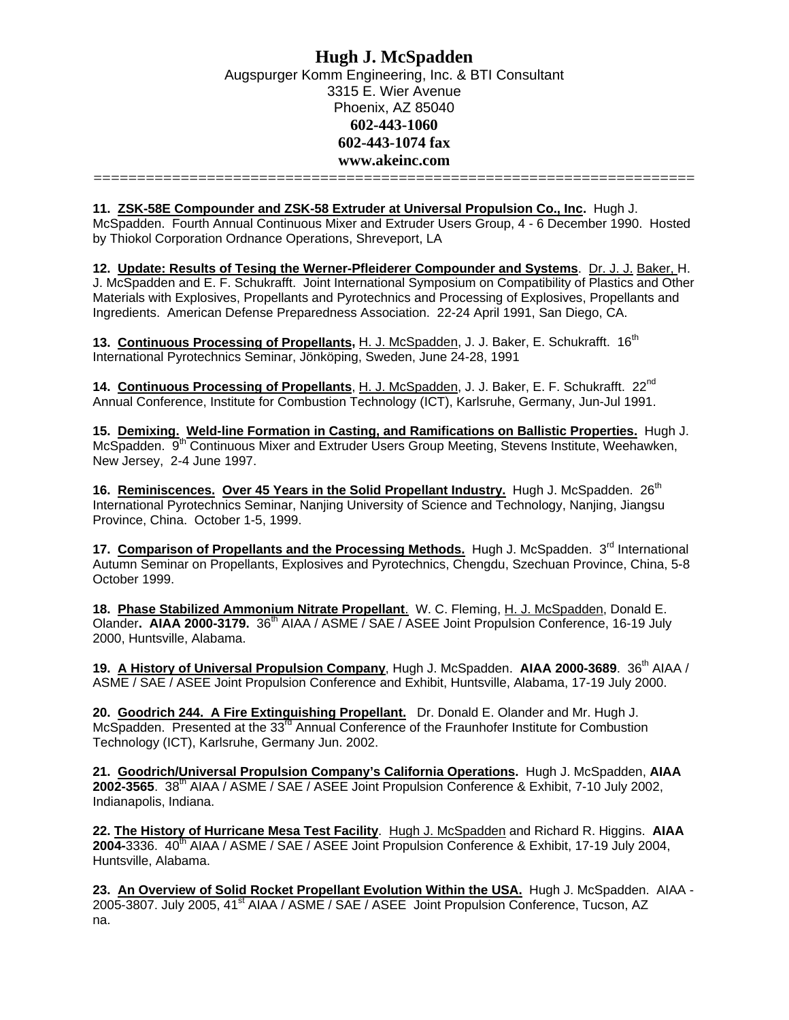**11. ZSK-58E Compounder and ZSK-58 Extruder at Universal Propulsion Co., Inc.** Hugh J.

McSpadden. Fourth Annual Continuous Mixer and Extruder Users Group, 4 - 6 December 1990. Hosted by Thiokol Corporation Ordnance Operations, Shreveport, LA

**12. Update: Results of Tesing the Werner-Pfleiderer Compounder and Systems**. Dr. J. J. Baker, H. J. McSpadden and E. F. Schukrafft. Joint International Symposium on Compatibility of Plastics and Other Materials with Explosives, Propellants and Pyrotechnics and Processing of Explosives, Propellants and Ingredients. American Defense Preparedness Association. 22-24 April 1991, San Diego, CA.

13. Continuous Processing of Propellants, H. J. McSpadden, J. J. Baker, E. Schukrafft. 16<sup>th</sup> International Pyrotechnics Seminar, Jönköping, Sweden, June 24-28, 1991

14. Continuous Processing of Propellants, H. J. McSpadden, J. J. Baker, E. F. Schukrafft. 22<sup>nd</sup> Annual Conference, Institute for Combustion Technology (ICT), Karlsruhe, Germany, Jun-Jul 1991.

**15. Demixing. Weld-line Formation in Casting, and Ramifications on Ballistic Properties.** Hugh J. McSpadden. 9<sup>th</sup> Continuous Mixer and Extruder Users Group Meeting, Stevens Institute, Weehawken, New Jersey, 2-4 June 1997.

16. Reminiscences. Over 45 Years in the Solid Propellant Industry. Hugh J. McSpadden. 26<sup>th</sup> International Pyrotechnics Seminar, Nanjing University of Science and Technology, Nanjing, Jiangsu Province, China. October 1-5, 1999.

**17. Comparison of Propellants and the Processing Methods.** Hugh J. McSpadden. 3<sup>rd</sup> International Autumn Seminar on Propellants, Explosives and Pyrotechnics, Chengdu, Szechuan Province, China, 5-8 October 1999.

**18. Phase Stabilized Ammonium Nitrate Propellant**.W. C. Fleming, H. J. McSpadden, Donald E. Olander. AIAA 2000-3179. 36<sup>th</sup> AIAA / ASME / SAE / ASEE Joint Propulsion Conference, 16-19 July 2000, Huntsville, Alabama.

**19. A History of Universal Propulsion Company**, Hugh J. McSpadden. **AIAA 2000-3689**. 36th AIAA / ASME / SAE / ASEE Joint Propulsion Conference and Exhibit, Huntsville, Alabama, 17-19 July 2000.

**20. Goodrich 244. A Fire Extinguishing Propellant.** Dr. Donald E. Olander and Mr. Hugh J. McSpadden. Presented at the  $33<sup>rd</sup>$  Annual Conference of the Fraunhofer Institute for Combustion Technology (ICT), Karlsruhe, Germany Jun. 2002.

**21. Goodrich/Universal Propulsion Company's California Operations.** Hugh J. McSpadden, **AIAA**  2002-3565. 38<sup>th</sup> AIAA / ASME / SAE / ASEE Joint Propulsion Conference & Exhibit, 7-10 July 2002, Indianapolis, Indiana.

**22. The History of Hurricane Mesa Test Facility**.Hugh J. McSpadden and Richard R. Higgins. **AIAA 2004-**3336. 40<sup>th</sup> AIAA / ASME / SAE / ASEE Joint Propulsion Conference & Exhibit, 17-19 July 2004, Huntsville, Alabama.

**23. An Overview of Solid Rocket Propellant Evolution Within the USA.** Hugh J. McSpadden. AIAA - 2005-3807. July 2005, 41<sup>st</sup> AIAA / ASME / SAE / ASEE Joint Propulsion Conference, Tucson, AZ na.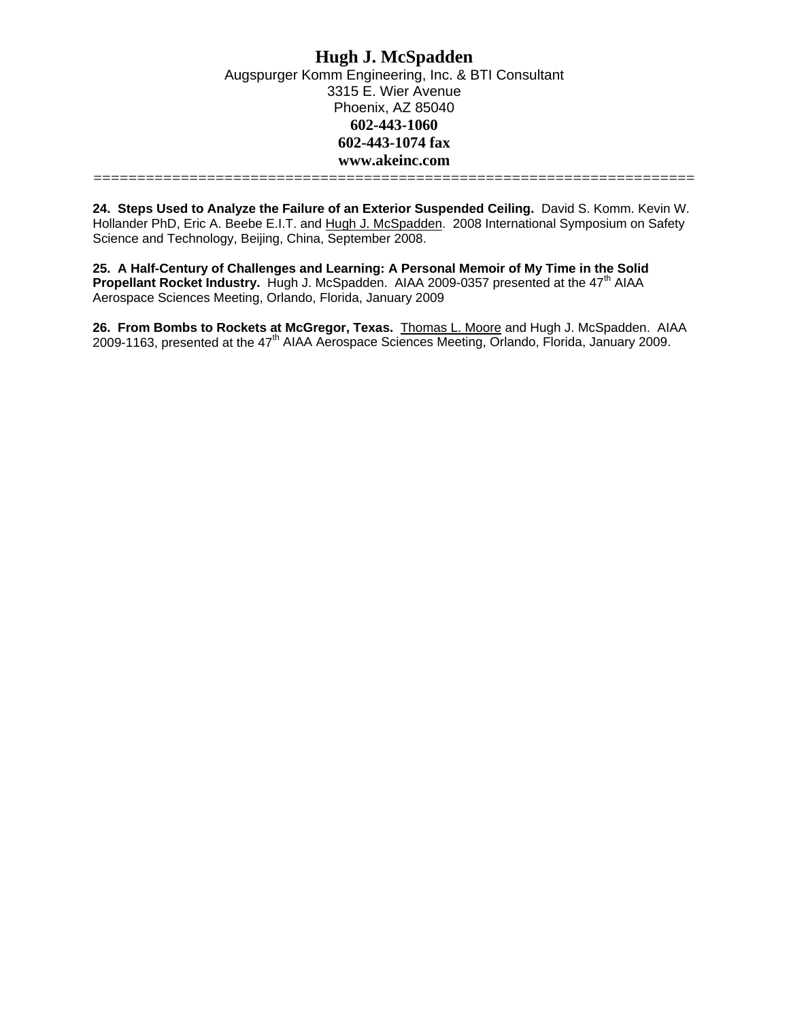**24. Steps Used to Analyze the Failure of an Exterior Suspended Ceiling.** David S. Komm. Kevin W. Hollander PhD, Eric A. Beebe E.I.T. and Hugh J. McSpadden. 2008 International Symposium on Safety Science and Technology, Beijing, China, September 2008.

**25. A Half-Century of Challenges and Learning: A Personal Memoir of My Time in the Solid Propellant Rocket Industry.** Hugh J. McSpadden. AIAA 2009-0357 presented at the 47<sup>th</sup> AIAA Aerospace Sciences Meeting, Orlando, Florida, January 2009

**26. From Bombs to Rockets at McGregor, Texas.** Thomas L. Moore and Hugh J. McSpadden. AIAA 2009-1163, presented at the 47<sup>th</sup> AIAA Aerospace Sciences Meeting, Orlando, Florida, January 2009.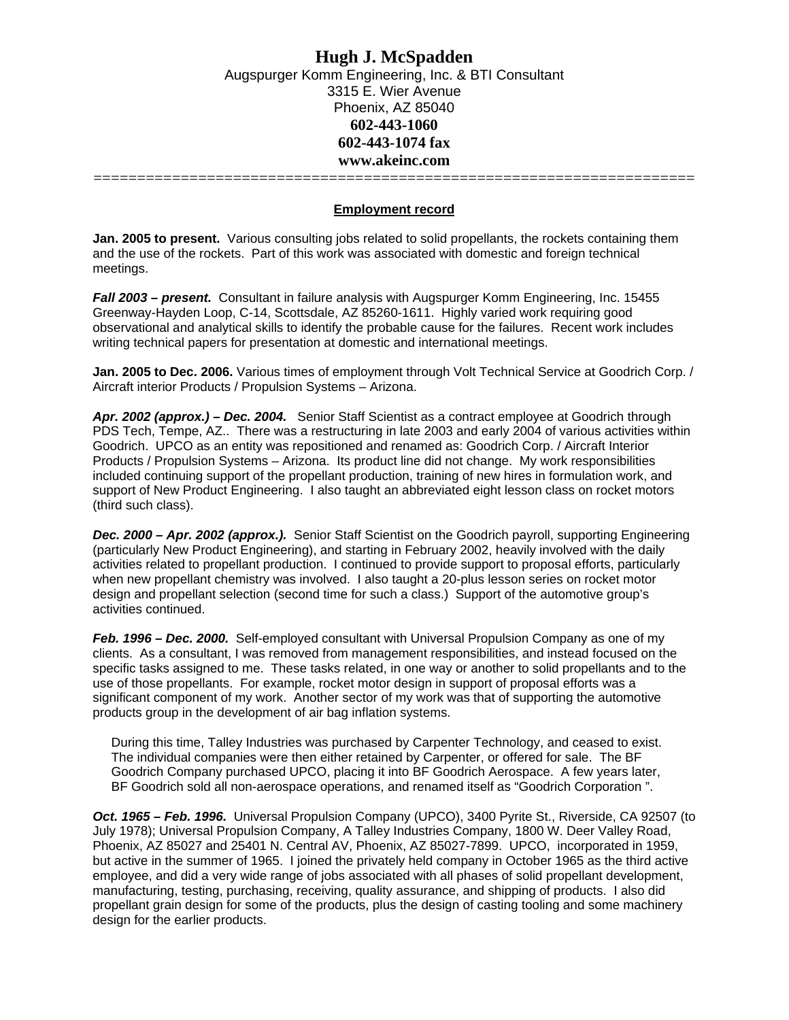# **Hugh J. McSpadden**  Augspurger Komm Engineering, Inc. & BTI Consultant 3315 E. Wier Avenue Phoenix, AZ 85040 **602-443-1060 602-443-1074 fax www.akeinc.com**

=====================================================================

## **Employment record**

**Jan. 2005 to present.** Various consulting jobs related to solid propellants, the rockets containing them and the use of the rockets. Part of this work was associated with domestic and foreign technical meetings.

*Fall 2003 – present.* Consultant in failure analysis with Augspurger Komm Engineering, Inc. 15455 Greenway-Hayden Loop, C-14, Scottsdale, AZ 85260-1611. Highly varied work requiring good observational and analytical skills to identify the probable cause for the failures. Recent work includes writing technical papers for presentation at domestic and international meetings.

**Jan. 2005 to Dec. 2006.** Various times of employment through Volt Technical Service at Goodrich Corp. / Aircraft interior Products / Propulsion Systems – Arizona.

*Apr. 2002 (approx.) – Dec. 2004.* Senior Staff Scientist as a contract employee at Goodrich through PDS Tech, Tempe, AZ.. There was a restructuring in late 2003 and early 2004 of various activities within Goodrich. UPCO as an entity was repositioned and renamed as: Goodrich Corp. / Aircraft Interior Products / Propulsion Systems – Arizona. Its product line did not change. My work responsibilities included continuing support of the propellant production, training of new hires in formulation work, and support of New Product Engineering. I also taught an abbreviated eight lesson class on rocket motors (third such class).

*Dec. 2000 – Apr. 2002 (approx.).* Senior Staff Scientist on the Goodrich payroll, supporting Engineering (particularly New Product Engineering), and starting in February 2002, heavily involved with the daily activities related to propellant production. I continued to provide support to proposal efforts, particularly when new propellant chemistry was involved. I also taught a 20-plus lesson series on rocket motor design and propellant selection (second time for such a class.) Support of the automotive group's activities continued.

*Feb. 1996 – Dec. 2000.* Self-employed consultant with Universal Propulsion Company as one of my clients. As a consultant, I was removed from management responsibilities, and instead focused on the specific tasks assigned to me. These tasks related, in one way or another to solid propellants and to the use of those propellants. For example, rocket motor design in support of proposal efforts was a significant component of my work. Another sector of my work was that of supporting the automotive products group in the development of air bag inflation systems.

During this time, Talley Industries was purchased by Carpenter Technology, and ceased to exist. The individual companies were then either retained by Carpenter, or offered for sale. The BF Goodrich Company purchased UPCO, placing it into BF Goodrich Aerospace. A few years later, BF Goodrich sold all non-aerospace operations, and renamed itself as "Goodrich Corporation ".

*Oct. 1965 – Feb. 1996.* Universal Propulsion Company (UPCO), 3400 Pyrite St., Riverside, CA 92507 (to July 1978); Universal Propulsion Company, A Talley Industries Company, 1800 W. Deer Valley Road, Phoenix, AZ 85027 and 25401 N. Central AV, Phoenix, AZ 85027-7899. UPCO, incorporated in 1959, but active in the summer of 1965. I joined the privately held company in October 1965 as the third active employee, and did a very wide range of jobs associated with all phases of solid propellant development, manufacturing, testing, purchasing, receiving, quality assurance, and shipping of products. I also did propellant grain design for some of the products, plus the design of casting tooling and some machinery design for the earlier products.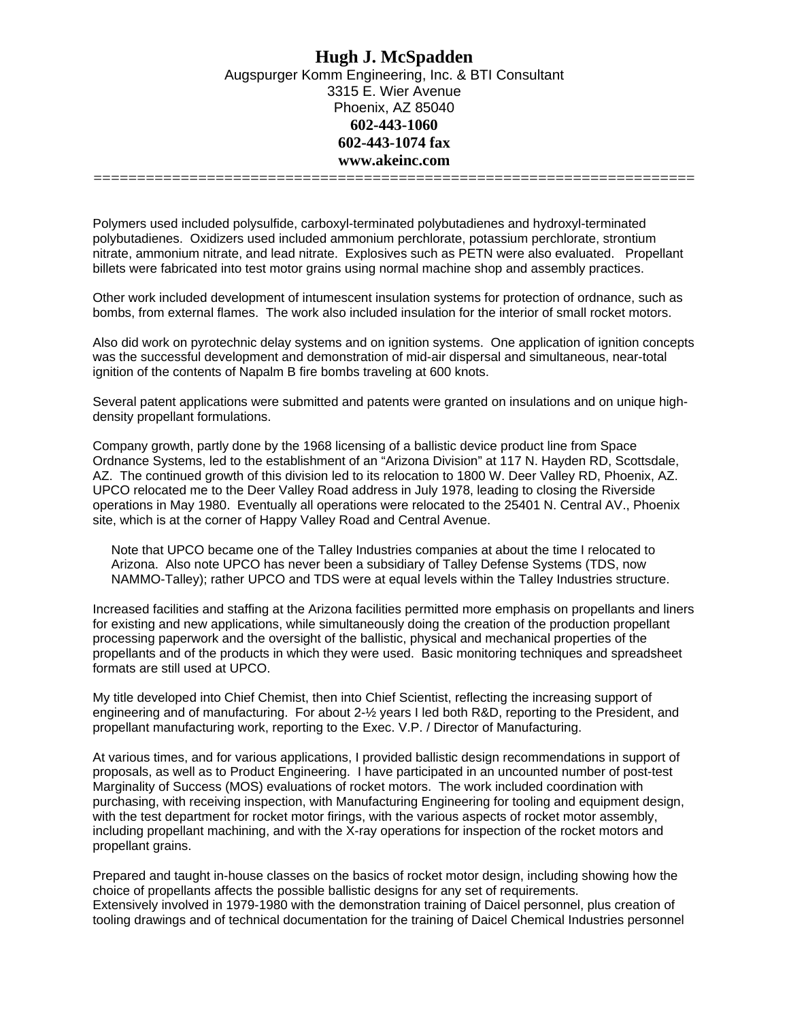Polymers used included polysulfide, carboxyl-terminated polybutadienes and hydroxyl-terminated polybutadienes. Oxidizers used included ammonium perchlorate, potassium perchlorate, strontium nitrate, ammonium nitrate, and lead nitrate. Explosives such as PETN were also evaluated. Propellant billets were fabricated into test motor grains using normal machine shop and assembly practices.

Other work included development of intumescent insulation systems for protection of ordnance, such as bombs, from external flames. The work also included insulation for the interior of small rocket motors.

Also did work on pyrotechnic delay systems and on ignition systems. One application of ignition concepts was the successful development and demonstration of mid-air dispersal and simultaneous, near-total ignition of the contents of Napalm B fire bombs traveling at 600 knots.

Several patent applications were submitted and patents were granted on insulations and on unique highdensity propellant formulations.

Company growth, partly done by the 1968 licensing of a ballistic device product line from Space Ordnance Systems, led to the establishment of an "Arizona Division" at 117 N. Hayden RD, Scottsdale, AZ. The continued growth of this division led to its relocation to 1800 W. Deer Valley RD, Phoenix, AZ. UPCO relocated me to the Deer Valley Road address in July 1978, leading to closing the Riverside operations in May 1980. Eventually all operations were relocated to the 25401 N. Central AV., Phoenix site, which is at the corner of Happy Valley Road and Central Avenue.

Note that UPCO became one of the Talley Industries companies at about the time I relocated to Arizona. Also note UPCO has never been a subsidiary of Talley Defense Systems (TDS, now NAMMO-Talley); rather UPCO and TDS were at equal levels within the Talley Industries structure.

Increased facilities and staffing at the Arizona facilities permitted more emphasis on propellants and liners for existing and new applications, while simultaneously doing the creation of the production propellant processing paperwork and the oversight of the ballistic, physical and mechanical properties of the propellants and of the products in which they were used. Basic monitoring techniques and spreadsheet formats are still used at UPCO.

My title developed into Chief Chemist, then into Chief Scientist, reflecting the increasing support of engineering and of manufacturing. For about 2-½ years I led both R&D, reporting to the President, and propellant manufacturing work, reporting to the Exec. V.P. / Director of Manufacturing.

At various times, and for various applications, I provided ballistic design recommendations in support of proposals, as well as to Product Engineering. I have participated in an uncounted number of post-test Marginality of Success (MOS) evaluations of rocket motors. The work included coordination with purchasing, with receiving inspection, with Manufacturing Engineering for tooling and equipment design, with the test department for rocket motor firings, with the various aspects of rocket motor assembly, including propellant machining, and with the X-ray operations for inspection of the rocket motors and propellant grains.

Prepared and taught in-house classes on the basics of rocket motor design, including showing how the choice of propellants affects the possible ballistic designs for any set of requirements. Extensively involved in 1979-1980 with the demonstration training of Daicel personnel, plus creation of tooling drawings and of technical documentation for the training of Daicel Chemical Industries personnel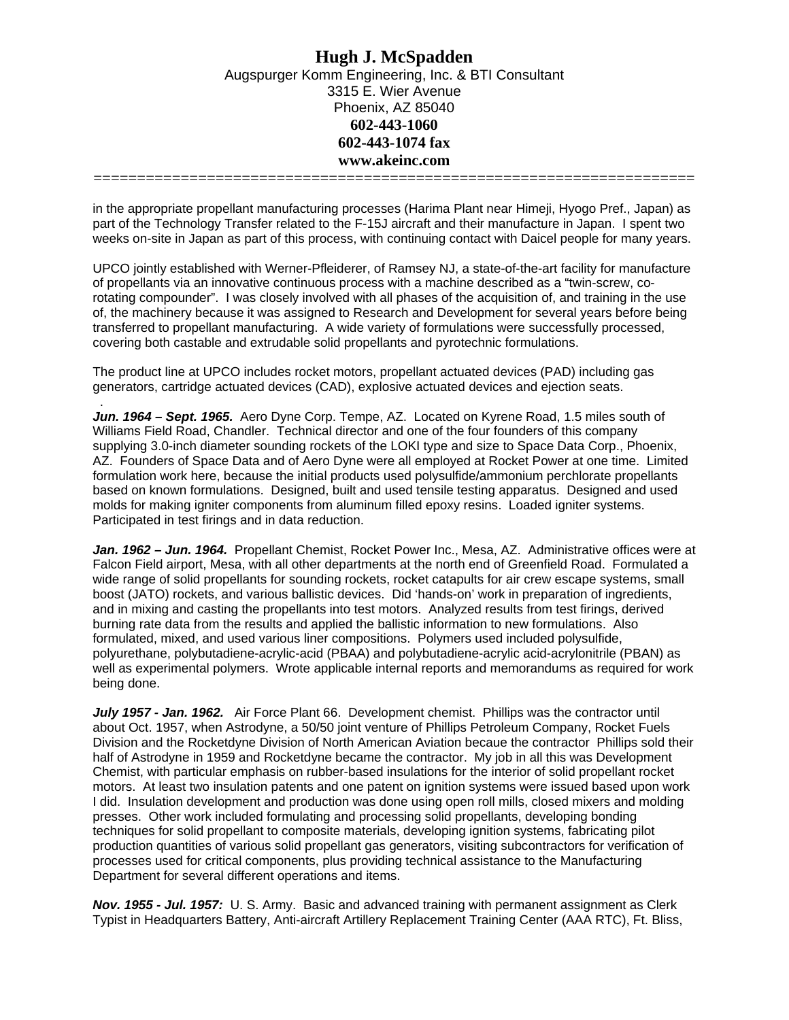in the appropriate propellant manufacturing processes (Harima Plant near Himeji, Hyogo Pref., Japan) as part of the Technology Transfer related to the F-15J aircraft and their manufacture in Japan. I spent two weeks on-site in Japan as part of this process, with continuing contact with Daicel people for many years.

UPCO jointly established with Werner-Pfleiderer, of Ramsey NJ, a state-of-the-art facility for manufacture of propellants via an innovative continuous process with a machine described as a "twin-screw, corotating compounder". I was closely involved with all phases of the acquisition of, and training in the use of, the machinery because it was assigned to Research and Development for several years before being transferred to propellant manufacturing. A wide variety of formulations were successfully processed, covering both castable and extrudable solid propellants and pyrotechnic formulations.

The product line at UPCO includes rocket motors, propellant actuated devices (PAD) including gas generators, cartridge actuated devices (CAD), explosive actuated devices and ejection seats.

.

*Jun. 1964 – Sept. 1965.* Aero Dyne Corp. Tempe, AZ. Located on Kyrene Road, 1.5 miles south of Williams Field Road, Chandler. Technical director and one of the four founders of this company supplying 3.0-inch diameter sounding rockets of the LOKI type and size to Space Data Corp., Phoenix, AZ. Founders of Space Data and of Aero Dyne were all employed at Rocket Power at one time. Limited formulation work here, because the initial products used polysulfide/ammonium perchlorate propellants based on known formulations. Designed, built and used tensile testing apparatus. Designed and used molds for making igniter components from aluminum filled epoxy resins. Loaded igniter systems. Participated in test firings and in data reduction.

*Jan. 1962 – Jun. 1964.* Propellant Chemist, Rocket Power Inc., Mesa, AZ. Administrative offices were at Falcon Field airport, Mesa, with all other departments at the north end of Greenfield Road. Formulated a wide range of solid propellants for sounding rockets, rocket catapults for air crew escape systems, small boost (JATO) rockets, and various ballistic devices. Did 'hands-on' work in preparation of ingredients, and in mixing and casting the propellants into test motors. Analyzed results from test firings, derived burning rate data from the results and applied the ballistic information to new formulations. Also formulated, mixed, and used various liner compositions. Polymers used included polysulfide, polyurethane, polybutadiene-acrylic-acid (PBAA) and polybutadiene-acrylic acid-acrylonitrile (PBAN) as well as experimental polymers. Wrote applicable internal reports and memorandums as required for work being done.

*July 1957 - Jan. 1962.* Air Force Plant 66. Development chemist. Phillips was the contractor until about Oct. 1957, when Astrodyne, a 50/50 joint venture of Phillips Petroleum Company, Rocket Fuels Division and the Rocketdyne Division of North American Aviation becaue the contractor Phillips sold their half of Astrodyne in 1959 and Rocketdyne became the contractor. My job in all this was Development Chemist, with particular emphasis on rubber-based insulations for the interior of solid propellant rocket motors. At least two insulation patents and one patent on ignition systems were issued based upon work I did. Insulation development and production was done using open roll mills, closed mixers and molding presses. Other work included formulating and processing solid propellants, developing bonding techniques for solid propellant to composite materials, developing ignition systems, fabricating pilot production quantities of various solid propellant gas generators, visiting subcontractors for verification of processes used for critical components, plus providing technical assistance to the Manufacturing Department for several different operations and items.

*Nov. 1955 - Jul. 1957:* U. S. Army. Basic and advanced training with permanent assignment as Clerk Typist in Headquarters Battery, Anti-aircraft Artillery Replacement Training Center (AAA RTC), Ft. Bliss,